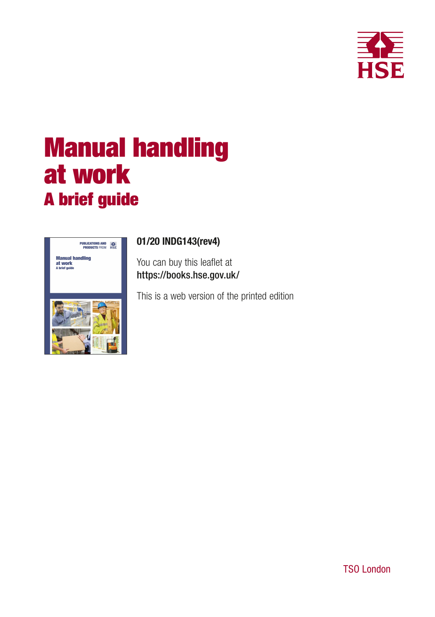

# Manual handling at work A brief guide



## 01/20 INDG143(rev4)

You can buy this leaflet at https://books.hse.gov.uk/

This is a web version of the printed edition

TSO London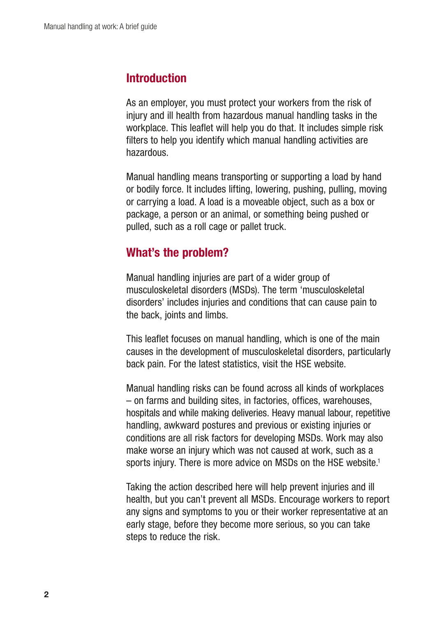## **Introduction**

As an employer, you must protect your workers from the risk of injury and ill health from hazardous manual handling tasks in the workplace. This leaflet will help you do that. It includes simple risk filters to help you identify which manual handling activities are hazardous.

Manual handling means transporting or supporting a load by hand or bodily force. It includes lifting, lowering, pushing, pulling, moving or carrying a load. A load is a moveable object, such as a box or package, a person or an animal, or something being pushed or pulled, such as a roll cage or pallet truck.

# What's the problem?

Manual handling injuries are part of a wider group of musculoskeletal disorders (MSDs). The term 'musculoskeletal disorders' includes injuries and conditions that can cause pain to the back, joints and limbs.

This leaflet focuses on manual handling, which is one of the main causes in the development of musculoskeletal disorders, particularly back pain. For the latest statistics, visit the HSE website.

Manual handling risks can be found across all kinds of workplaces – on farms and building sites, in factories, offices, warehouses, hospitals and while making deliveries. Heavy manual labour, repetitive handling, awkward postures and previous or existing injuries or conditions are all risk factors for developing MSDs. Work may also make worse an injury which was not caused at work, such as a sports injury. There is more advice on MSDs on the HSE website.<sup>1</sup>

Taking the action described here will help prevent injuries and ill health, but you can't prevent all MSDs. Encourage workers to report any signs and symptoms to you or their worker representative at an early stage, before they become more serious, so you can take steps to reduce the risk.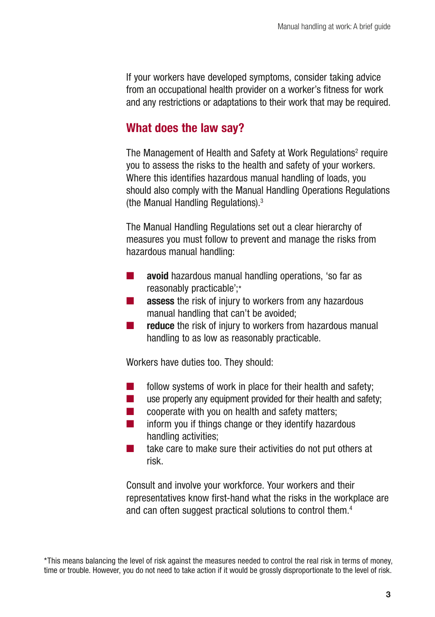If your workers have developed symptoms, consider taking advice from an occupational health provider on a worker's fitness for work and any restrictions or adaptations to their work that may be required.

## What does the law say?

The Management of Health and Safety at Work Regulations<sup>2</sup> require you to assess the risks to the health and safety of your workers. Where this identifies hazardous manual handling of loads, you should also comply with the Manual Handling Operations Regulations (the Manual Handling Regulations).3

The Manual Handling Regulations set out a clear hierarchy of measures you must follow to prevent and manage the risks from hazardous manual handling:

- avoid hazardous manual handling operations, 'so far as reasonably practicable';\*
- assess the risk of injury to workers from any hazardous manual handling that can't be avoided;
- **reduce** the risk of injury to workers from hazardous manual handling to as low as reasonably practicable.

Workers have duties too. They should:

- follow systems of work in place for their health and safety:
- use properly any equipment provided for their health and safety:
- $\Box$  cooperate with you on health and safety matters;
- $\blacksquare$  inform you if things change or they identify hazardous handling activities;
- take care to make sure their activities do not put others at risk.

Consult and involve your workforce. Your workers and their representatives know first-hand what the risks in the workplace are and can often suggest practical solutions to control them.<sup>4</sup>

<sup>\*</sup>This means balancing the level of risk against the measures needed to control the real risk in terms of money, time or trouble. However, you do not need to take action if it would be grossly disproportionate to the level of risk.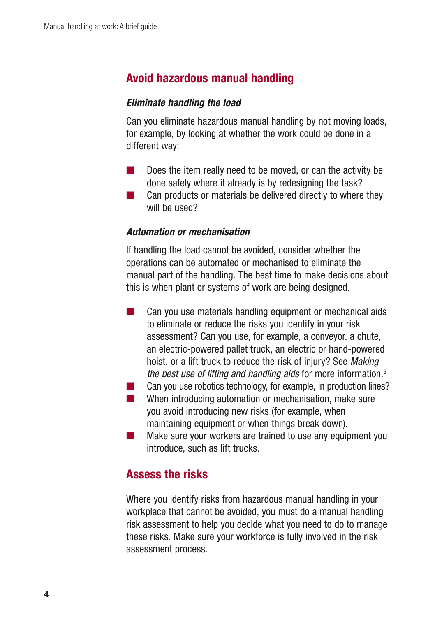## Avoid hazardous manual handling

#### *Eliminate handling the load*

Can you eliminate hazardous manual handling by not moving loads, for example, by looking at whether the work could be done in a different way:

- Does the item really need to be moved, or can the activity be done safely where it already is by redesigning the task?
- Can products or materials be delivered directly to where they will be used?

#### *Automation or mechanisation*

If handling the load cannot be avoided, consider whether the operations can be automated or mechanised to eliminate the manual part of the handling. The best time to make decisions about this is when plant or systems of work are being designed.

- Can you use materials handling equipment or mechanical aids to eliminate or reduce the risks you identify in your risk assessment? Can you use, for example, a conveyor, a chute, an electric-powered pallet truck, an electric or hand-powered hoist, or a lift truck to reduce the risk of injury? See *Making the best use of lifting and handling aids* for more information.5
- Can you use robotics technology, for example, in production lines?
- $\mathcal{L}^{\text{max}}_{\text{max}}$ When introducing automation or mechanisation, make sure you avoid introducing new risks (for example, when maintaining equipment or when things break down).
- Make sure your workers are trained to use any equipment you introduce, such as lift trucks.

## Assess the risks

Where you identify risks from hazardous manual handling in your workplace that cannot be avoided, you must do a manual handling risk assessment to help you decide what you need to do to manage these risks. Make sure your workforce is fully involved in the risk assessment process.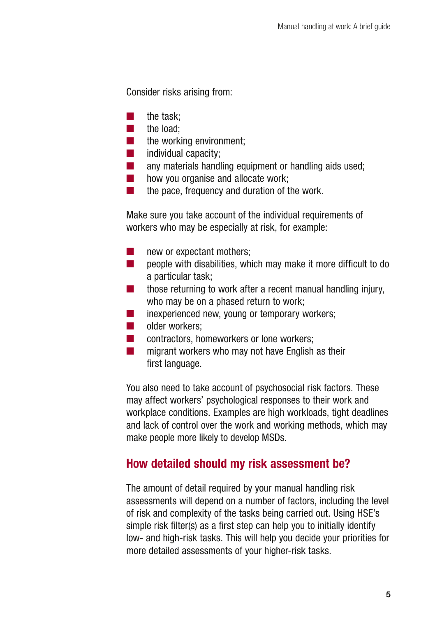Consider risks arising from:

- the task:
- the load:
- the working environment:
- individual capacity;
- any materials handling equipment or handling aids used;
- how you organise and allocate work:
- the pace, frequency and duration of the work.

Make sure you take account of the individual requirements of workers who may be especially at risk, for example:

- new or expectant mothers:
- $\Box$  people with disabilities, which may make it more difficult to do a particular task;
- $\blacksquare$  those returning to work after a recent manual handling injury, who may be on a phased return to work;
- inexperienced new, young or temporary workers;
- older workers:
- contractors, homeworkers or lone workers;
- migrant workers who may not have English as their first language.

You also need to take account of psychosocial risk factors. These may affect workers' psychological responses to their work and workplace conditions. Examples are high workloads, tight deadlines and lack of control over the work and working methods, which may make people more likely to develop MSDs.

# How detailed should my risk assessment be?

The amount of detail required by your manual handling risk assessments will depend on a number of factors, including the level of risk and complexity of the tasks being carried out. Using HSE's simple risk filter(s) as a first step can help you to initially identify low- and high-risk tasks. This will help you decide your priorities for more detailed assessments of your higher-risk tasks.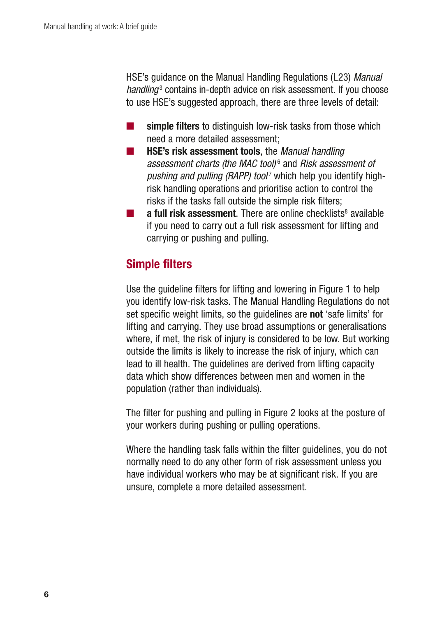HSE's guidance on the Manual Handling Regulations (L23) *Manual*  handling<sup>3</sup> contains in-depth advice on risk assessment. If you choose to use HSE's suggested approach, there are three levels of detail:

- simple filters to distinguish low-risk tasks from those which need a more detailed assessment;
- HSE's risk assessment tools, the *Manual handling assessment charts (the MAC tool)* <sup>6</sup> and *Risk assessment of pushing and pulling (RAPP) tool<sup>7</sup>* which help you identify highrisk handling operations and prioritise action to control the risks if the tasks fall outside the simple risk filters;
- $\blacksquare$  a full risk assessment. There are online checklists<sup>8</sup> available if you need to carry out a full risk assessment for lifting and carrying or pushing and pulling.

# Simple filters

Use the guideline filters for lifting and lowering in Figure 1 to help you identify low-risk tasks. The Manual Handling Regulations do not set specific weight limits, so the guidelines are **not** 'safe limits' for lifting and carrying. They use broad assumptions or generalisations where, if met, the risk of injury is considered to be low. But working outside the limits is likely to increase the risk of injury, which can lead to ill health. The guidelines are derived from lifting capacity data which show differences between men and women in the population (rather than individuals).

The filter for pushing and pulling in Figure 2 looks at the posture of your workers during pushing or pulling operations.

Where the handling task falls within the filter guidelines, you do not normally need to do any other form of risk assessment unless you have individual workers who may be at significant risk. If you are unsure, complete a more detailed assessment.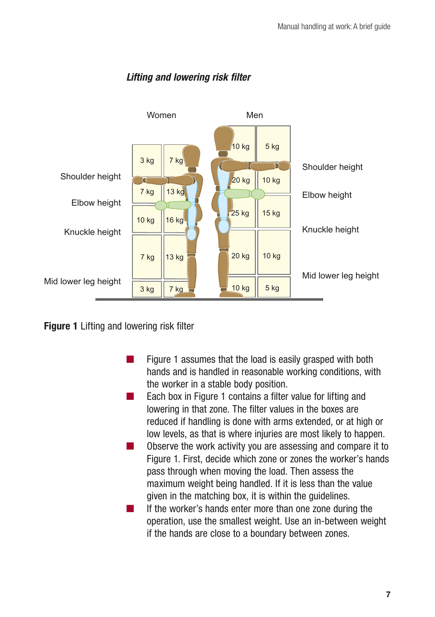

## *Lifting and lowering risk filter*

Figure 1 Lifting and lowering risk filter

- Figure 1 assumes that the load is easily grasped with both hands and is handled in reasonable working conditions, with the worker in a stable body position.
- Each box in Figure 1 contains a filter value for lifting and lowering in that zone. The filter values in the boxes are reduced if handling is done with arms extended, or at high or low levels, as that is where injuries are most likely to happen.
- Observe the work activity you are assessing and compare it to Figure 1. First, decide which zone or zones the worker's hands pass through when moving the load. Then assess the maximum weight being handled. If it is less than the value given in the matching box, it is within the guidelines.
- If the worker's hands enter more than one zone during the operation, use the smallest weight. Use an in-between weight if the hands are close to a boundary between zones.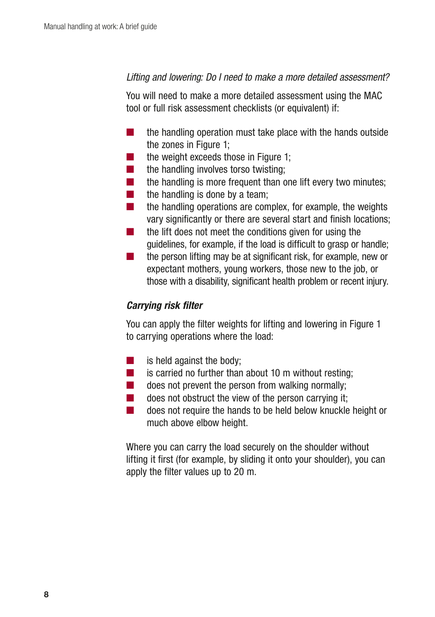#### *Lifting and lowering: Do I need to make a more detailed assessment?*

You will need to make a more detailed assessment using the MAC tool or full risk assessment checklists (or equivalent) if:

- the handling operation must take place with the hands outside the zones in Figure 1;
- the weight exceeds those in Figure 1:
- the handling involves torso twisting:
- $\blacksquare$  the handling is more frequent than one lift every two minutes;
- $\blacksquare$  the handling is done by a team;
- $\blacksquare$  the handling operations are complex, for example, the weights vary significantly or there are several start and finish locations;
- the lift does not meet the conditions given for using the guidelines, for example, if the load is difficult to grasp or handle;
- $\blacksquare$  the person lifting may be at significant risk, for example, new or expectant mothers, young workers, those new to the job, or those with a disability, significant health problem or recent injury.

#### *Carrying risk filter*

You can apply the filter weights for lifting and lowering in Figure 1 to carrying operations where the load:

- $\blacksquare$  is held against the body:
- is carried no further than about 10 m without resting;
- $\Box$  does not prevent the person from walking normally;
- $\Box$  does not obstruct the view of the person carrying it;
- does not require the hands to be held below knuckle height or much above elbow height.

Where you can carry the load securely on the shoulder without lifting it first (for example, by sliding it onto your shoulder), you can apply the filter values up to 20 m.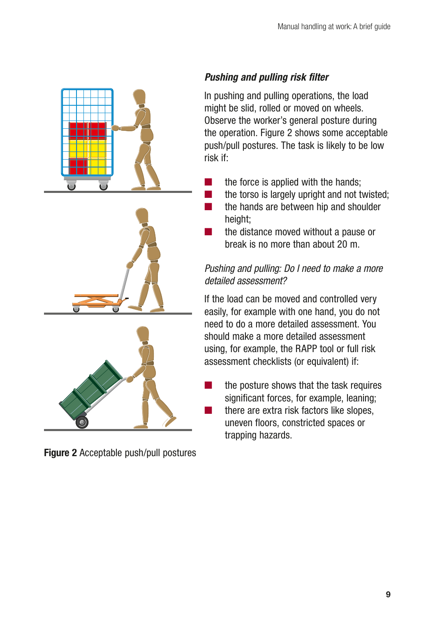



Figure 2 Acceptable push/pull postures

## *Pushing and pulling risk filter*

In pushing and pulling operations, the load might be slid, rolled or moved on wheels. Observe the worker's general posture during the operation. Figure 2 shows some acceptable push/pull postures. The task is likely to be low risk if:

- the force is applied with the hands;
- the torso is largely upright and not twisted;
- the hands are between hip and shoulder height:
	- the distance moved without a pause or break is no more than about 20 m.

## *Pushing and pulling: Do I need to make a more detailed assessment?*

If the load can be moved and controlled very easily, for example with one hand, you do not need to do a more detailed assessment. You should make a more detailed assessment using, for example, the RAPP tool or full risk assessment checklists (or equivalent) if:

■ the posture shows that the task requires significant forces, for example, leaning; there are extra risk factors like slopes, uneven floors, constricted spaces or trapping hazards.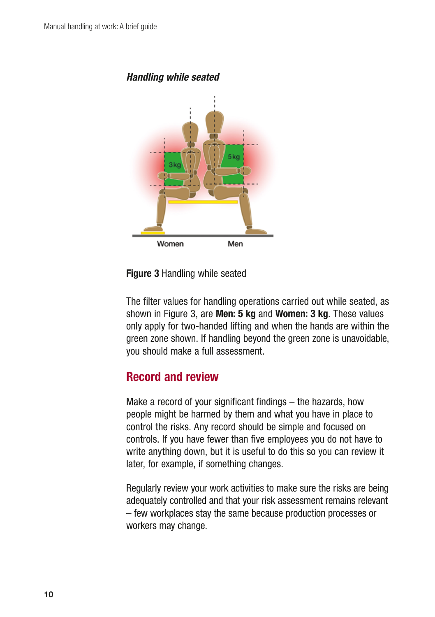



Figure 3 Handling while seated

The filter values for handling operations carried out while seated, as shown in Figure 3, are **Men: 5 kg** and **Women: 3 kg**. These values only apply for two-handed lifting and when the hands are within the green zone shown. If handling beyond the green zone is unavoidable, you should make a full assessment.

## Record and review

Make a record of your significant findings – the hazards, how people might be harmed by them and what you have in place to control the risks. Any record should be simple and focused on controls. If you have fewer than five employees you do not have to write anything down, but it is useful to do this so you can review it later, for example, if something changes.

Regularly review your work activities to make sure the risks are being adequately controlled and that your risk assessment remains relevant – few workplaces stay the same because production processes or workers may change.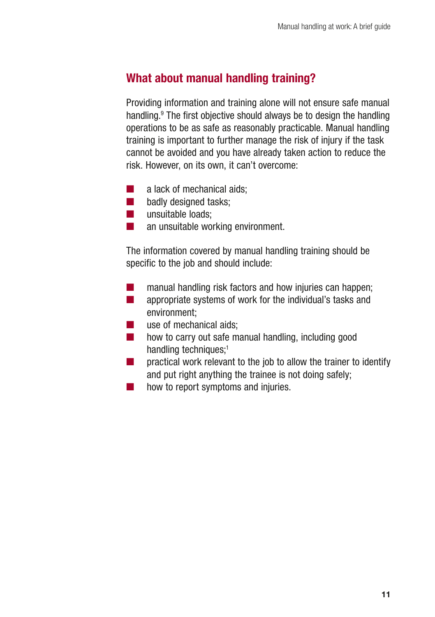# What about manual handling training?

Providing information and training alone will not ensure safe manual handling.9 The first objective should always be to design the handling operations to be as safe as reasonably practicable. Manual handling training is important to further manage the risk of injury if the task cannot be avoided and you have already taken action to reduce the risk. However, on its own, it can't overcome:

- a lack of mechanical aids:
- badly designed tasks;
- unsuitable loads;
- an unsuitable working environment.

The information covered by manual handling training should be specific to the job and should include:

- manual handling risk factors and how injuries can happen;
- appropriate systems of work for the individual's tasks and environment;
- use of mechanical aids;
- how to carry out safe manual handling, including good handling techniques:<sup>1</sup>
- $\Box$  practical work relevant to the job to allow the trainer to identify and put right anything the trainee is not doing safely;
- how to report symptoms and injuries.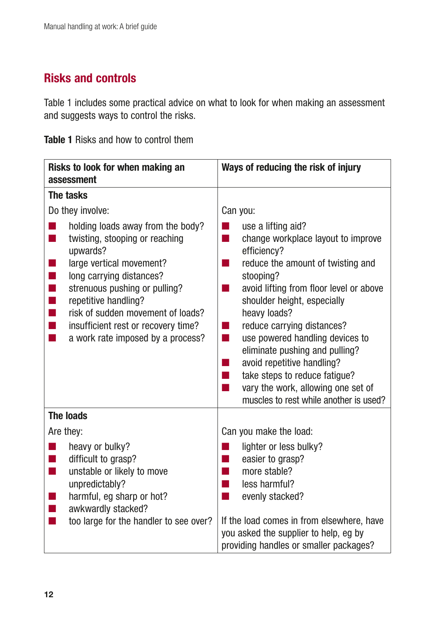# Risks and controls

Table 1 includes some practical advice on what to look for when making an assessment and suggests ways to control the risks.

Table 1 Risks and how to control them

| Risks to look for when making an<br>assessment                                                                                                                                                                                                                                                                                                            | Ways of reducing the risk of injury                                                                                                                                                                                                                                                                                                                                                                                                                                                                      |
|-----------------------------------------------------------------------------------------------------------------------------------------------------------------------------------------------------------------------------------------------------------------------------------------------------------------------------------------------------------|----------------------------------------------------------------------------------------------------------------------------------------------------------------------------------------------------------------------------------------------------------------------------------------------------------------------------------------------------------------------------------------------------------------------------------------------------------------------------------------------------------|
| The tasks                                                                                                                                                                                                                                                                                                                                                 |                                                                                                                                                                                                                                                                                                                                                                                                                                                                                                          |
| Do they involve:                                                                                                                                                                                                                                                                                                                                          | Can you:                                                                                                                                                                                                                                                                                                                                                                                                                                                                                                 |
| holding loads away from the body?<br>twisting, stooping or reaching<br>upwards?<br>large vertical movement?<br>long carrying distances?<br>T,<br>strenuous pushing or pulling?<br>$\blacksquare$<br>repetitive handling?<br>T,<br>risk of sudden movement of loads?<br>п<br>insufficient rest or recovery time?<br>▅<br>a work rate imposed by a process? | use a lifting aid?<br>change workplace layout to improve<br>٠<br>efficiency?<br>reduce the amount of twisting and<br>stooping?<br>avoid lifting from floor level or above<br>a.<br>shoulder height, especially<br>heavy loads?<br>reduce carrying distances?<br>×.<br>use powered handling devices to<br>m.<br>eliminate pushing and pulling?<br>avoid repetitive handling?<br>×.<br>take steps to reduce fatigue?<br>a.<br>vary the work, allowing one set of<br>muscles to rest while another is used? |
| <b>The loads</b>                                                                                                                                                                                                                                                                                                                                          |                                                                                                                                                                                                                                                                                                                                                                                                                                                                                                          |
| Are they:                                                                                                                                                                                                                                                                                                                                                 | Can you make the load:                                                                                                                                                                                                                                                                                                                                                                                                                                                                                   |
| heavy or bulky?<br>difficult to grasp?<br>unstable or likely to move<br>T.<br>unpredictably?<br>harmful, eg sharp or hot?<br>awkwardly stacked?                                                                                                                                                                                                           | lighter or less bulky?<br>easier to grasp?<br>more stable?<br>×.<br>less harmful?<br>×.<br>evenly stacked?<br>٠                                                                                                                                                                                                                                                                                                                                                                                          |
| too large for the handler to see over?<br>×                                                                                                                                                                                                                                                                                                               | If the load comes in from elsewhere, have<br>you asked the supplier to help, eg by<br>providing handles or smaller packages?                                                                                                                                                                                                                                                                                                                                                                             |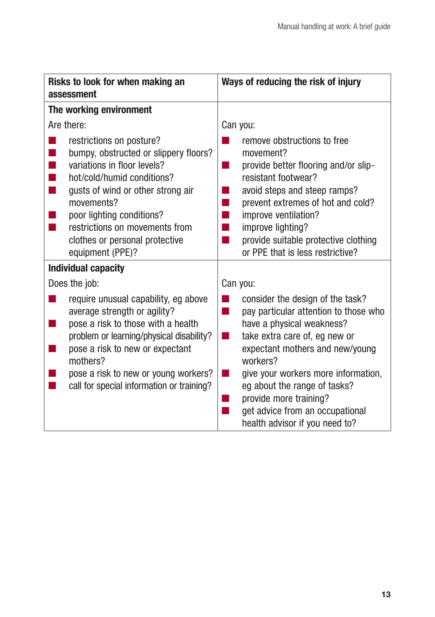| Risks to look for when making an<br>assessment                                                                                                                                                                                                                                                         | Ways of reducing the risk of injury                                                                                                                                                                                                                                                                                                                                     |
|--------------------------------------------------------------------------------------------------------------------------------------------------------------------------------------------------------------------------------------------------------------------------------------------------------|-------------------------------------------------------------------------------------------------------------------------------------------------------------------------------------------------------------------------------------------------------------------------------------------------------------------------------------------------------------------------|
| The working environment                                                                                                                                                                                                                                                                                |                                                                                                                                                                                                                                                                                                                                                                         |
| Are there:                                                                                                                                                                                                                                                                                             | Can you:                                                                                                                                                                                                                                                                                                                                                                |
| restrictions on posture?<br>bumpy, obstructed or slippery floors?<br>variations in floor levels?<br>hot/cold/humid conditions?<br>gusts of wind or other strong air<br>movements?<br>poor lighting conditions?<br>restrictions on movements from<br>clothes or personal protective<br>equipment (PPE)? | remove obstructions to free<br>movement?<br>provide better flooring and/or slip-<br>×.<br>resistant footwear?<br>avoid steps and steep ramps?<br>prevent extremes of hot and cold?<br>$\mathcal{L}_{\mathrm{max}}$<br>improve ventilation?<br>×.<br>improve lighting?<br>ш<br>provide suitable protective clothing<br>ш<br>or PPE that is less restrictive?             |
| <b>Individual capacity</b>                                                                                                                                                                                                                                                                             |                                                                                                                                                                                                                                                                                                                                                                         |
| Does the job:                                                                                                                                                                                                                                                                                          | Can you:                                                                                                                                                                                                                                                                                                                                                                |
| require unusual capability, eg above<br>average strength or agility?<br>pose a risk to those with a health<br>problem or learning/physical disability?<br>pose a risk to new or expectant<br>mothers?<br>pose a risk to new or young workers?<br>call for special information or training?             | consider the design of the task?<br>pay particular attention to those who<br>a.<br>have a physical weakness?<br>take extra care of, eg new or<br>٠<br>expectant mothers and new/young<br>workers?<br>give your workers more information,<br>eg about the range of tasks?<br>provide more training?<br>get advice from an occupational<br>health advisor if you need to? |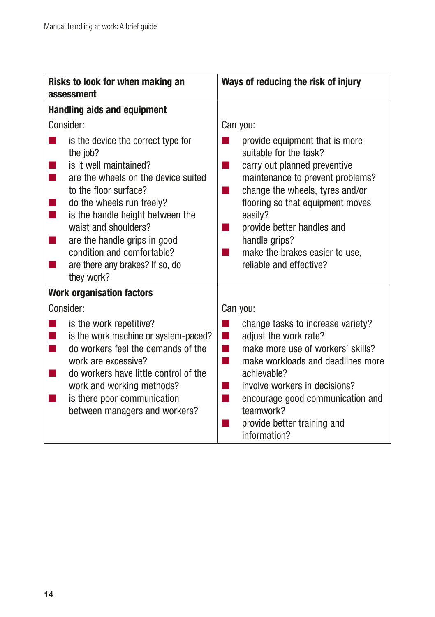| Risks to look for when making an<br>assessment                                                                                                                                                                                                                                                                                                   | Ways of reducing the risk of injury                                                                                                                                                                                                                                                                                               |
|--------------------------------------------------------------------------------------------------------------------------------------------------------------------------------------------------------------------------------------------------------------------------------------------------------------------------------------------------|-----------------------------------------------------------------------------------------------------------------------------------------------------------------------------------------------------------------------------------------------------------------------------------------------------------------------------------|
| <b>Handling aids and equipment</b>                                                                                                                                                                                                                                                                                                               |                                                                                                                                                                                                                                                                                                                                   |
| Consider:                                                                                                                                                                                                                                                                                                                                        | Can you:                                                                                                                                                                                                                                                                                                                          |
| is the device the correct type for<br>the job?<br>is it well maintained?<br>are the wheels on the device suited<br>to the floor surface?<br>do the wheels run freely?<br>is the handle height between the<br>waist and shoulders?<br>are the handle grips in good<br>condition and comfortable?<br>are there any brakes? If so, do<br>they work? | provide equipment that is more<br>suitable for the task?<br>carry out planned preventive<br>- 1<br>maintenance to prevent problems?<br>change the wheels, tyres and/or<br>flooring so that equipment moves<br>easily?<br>provide better handles and<br>handle grips?<br>make the brakes easier to use,<br>reliable and effective? |
| <b>Work organisation factors</b>                                                                                                                                                                                                                                                                                                                 |                                                                                                                                                                                                                                                                                                                                   |
| Consider:                                                                                                                                                                                                                                                                                                                                        | Can you:                                                                                                                                                                                                                                                                                                                          |
| is the work repetitive?<br>is the work machine or system-paced?<br>do workers feel the demands of the<br>work are excessive?<br>do workers have little control of the<br>work and working methods?<br>is there poor communication<br>between managers and workers?                                                                               | change tasks to increase variety?<br>adjust the work rate?<br>n l<br>make more use of workers' skills?<br>make workloads and deadlines more<br>m,<br>achievable?<br>involve workers in decisions?<br>encourage good communication and<br>teamwork?<br>provide better training and<br>information?                                 |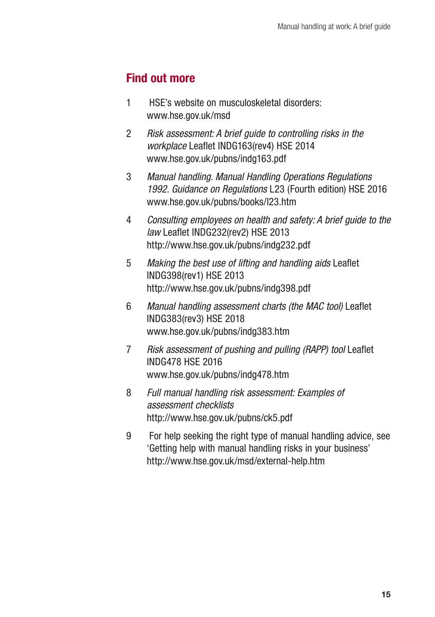# Find out more

- 1 HSE's website on musculoskeletal disorders: www.hse.gov.uk/msd
- $\overline{2}$ 2 *Risk assessment: A brief guide to controlling risks in the workplace* Leaflet INDG163(rev4) HSE 2014 www.hse.gov.uk/pubns/indg163.pdf
- $\mathbf{3}$ 3 *Manual handling. Manual Handling Operations Regulations 1992. Guidance on Regulations* L23 (Fourth edition) HSE 2016 www.hse.gov.uk/pubns/books/l23.htm
- $\overline{4}$ 4 *Consulting employees on health and safety: A brief guide to the law* Leaflet INDG232(rev2) HSE 2013 http://www.hse.gov.uk/pubns/indg232.pdf
- $5<sup>5</sup>$ 5 *Making the best use of lifting and handling aids* Leaflet INDG398(rev1) HSE 2013 http://www.hse.gov.uk/pubns/indg398.pdf
- 6 6 *Manual handling assessment charts (the MAC tool)* Leaflet INDG383(rev3) HSE 2018 www.hse.gov.uk/pubns/indg383.htm
- $\overline{7}$ 7 *Risk assessment of pushing and pulling (RAPP) tool* Leaflet INDG478 HSE 2016 www.hse.gov.uk/pubns/indg478.htm
- 8 8 *Full manual handling risk assessment: Examples of assessment checklists*  http://www.hse.gov.uk/pubns/ck5.pdf
- 9 9 For help seeking the right type of manual handling advice, see 'Getting help with manual handling risks in your business' http://www.hse.gov.uk/msd/external-help.htm